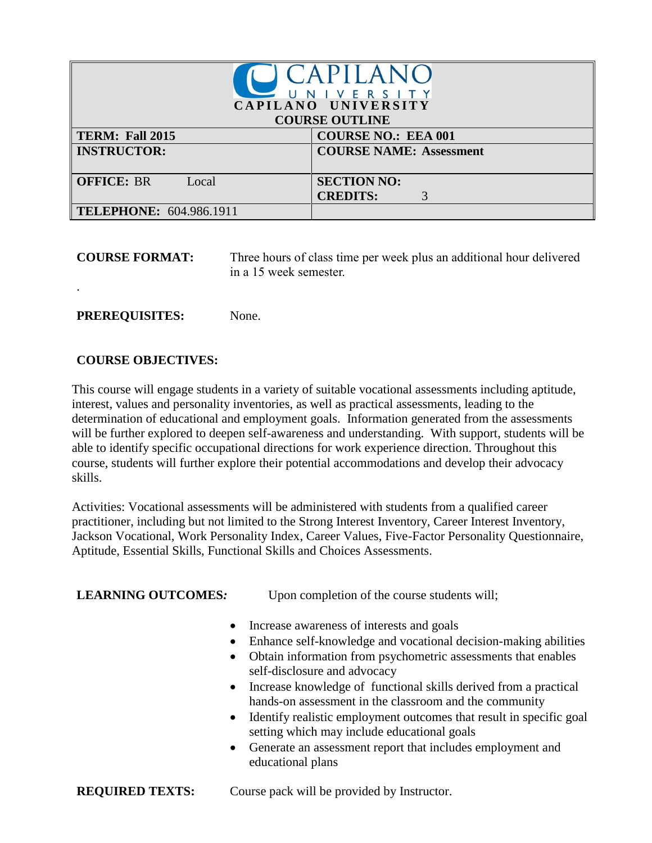| CAPILANC<br>NIVERSITY<br>CAPILANO UNIVERSITY |                                            |  |  |
|----------------------------------------------|--------------------------------------------|--|--|
| <b>COURSE OUTLINE</b>                        |                                            |  |  |
| TERM: Fall 2015                              | <b>COURSE NO.: EEA 001</b>                 |  |  |
| <b>INSTRUCTOR:</b>                           | <b>COURSE NAME: Assessment</b>             |  |  |
| <b>OFFICE: BR</b><br>Local                   | <b>SECTION NO:</b><br><b>CREDITS:</b><br>3 |  |  |
| <b>TELEPHONE: 604.986.1911</b>               |                                            |  |  |

**COURSE FORMAT:** Three hours of class time per week plus an additional hour delivered in a 15 week semester.

**PREREQUISITES:** None.

### **COURSE OBJECTIVES:**

.

This course will engage students in a variety of suitable vocational assessments including aptitude, interest, values and personality inventories, as well as practical assessments, leading to the determination of educational and employment goals. Information generated from the assessments will be further explored to deepen self-awareness and understanding. With support, students will be able to identify specific occupational directions for work experience direction. Throughout this course, students will further explore their potential accommodations and develop their advocacy skills.

Activities: Vocational assessments will be administered with students from a qualified career practitioner, including but not limited to the Strong Interest Inventory, Career Interest Inventory, Jackson Vocational, Work Personality Index, Career Values, Five-Factor Personality Questionnaire, Aptitude, Essential Skills, Functional Skills and Choices Assessments.

**LEARNING OUTCOMES:** Upon completion of the course students will;

- Increase awareness of interests and goals
- Enhance self-knowledge and vocational decision-making abilities
- Obtain information from psychometric assessments that enables self-disclosure and advocacy
- Increase knowledge of functional skills derived from a practical hands-on assessment in the classroom and the community
- Identify realistic employment outcomes that result in specific goal setting which may include educational goals
- Generate an assessment report that includes employment and educational plans
- **REQUIRED TEXTS:** Course pack will be provided by Instructor.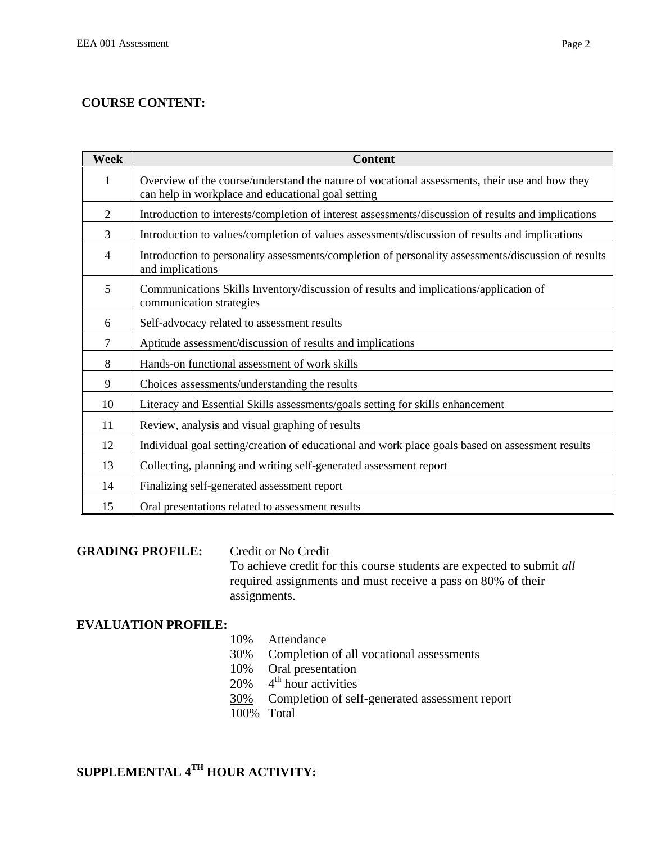# **COURSE CONTENT:**

| <b>Week</b>    | <b>Content</b>                                                                                                                                       |
|----------------|------------------------------------------------------------------------------------------------------------------------------------------------------|
| 1              | Overview of the course/understand the nature of vocational assessments, their use and how they<br>can help in workplace and educational goal setting |
| $\overline{2}$ | Introduction to interests/completion of interest assessments/discussion of results and implications                                                  |
| $\overline{3}$ | Introduction to values/completion of values assessments/discussion of results and implications                                                       |
| 4              | Introduction to personality assessments/completion of personality assessments/discussion of results<br>and implications                              |
| 5              | Communications Skills Inventory/discussion of results and implications/application of<br>communication strategies                                    |
| 6              | Self-advocacy related to assessment results                                                                                                          |
| 7              | Aptitude assessment/discussion of results and implications                                                                                           |
| 8              | Hands-on functional assessment of work skills                                                                                                        |
| 9              | Choices assessments/understanding the results                                                                                                        |
| 10             | Literacy and Essential Skills assessments/goals setting for skills enhancement                                                                       |
| 11             | Review, analysis and visual graphing of results                                                                                                      |
| 12             | Individual goal setting/creation of educational and work place goals based on assessment results                                                     |
| 13             | Collecting, planning and writing self-generated assessment report                                                                                    |
| 14             | Finalizing self-generated assessment report                                                                                                          |
| 15             | Oral presentations related to assessment results                                                                                                     |

# **GRADING PROFILE:** Credit or No Credit

To achieve credit for this course students are expected to submit *all*  required assignments and must receive a pass on 80% of their assignments.

### **EVALUATION PROFILE:**

### 10% Attendance

- 30% Completion of all vocational assessments
- 10% Oral presentation
- $20\%$  4<sup>th</sup> hour activities
- 30% Completion of self-generated assessment report
- 100% Total

# **SUPPLEMENTAL 4TH HOUR ACTIVITY:**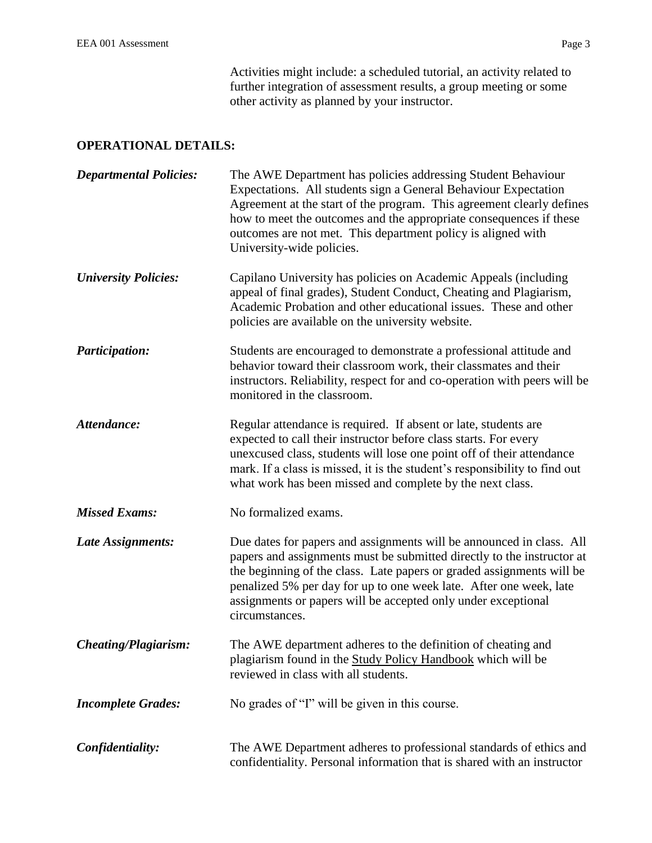Activities might include: a scheduled tutorial, an activity related to further integration of assessment results, a group meeting or some other activity as planned by your instructor.

# **OPERATIONAL DETAILS:**

| <b>Departmental Policies:</b> | The AWE Department has policies addressing Student Behaviour<br>Expectations. All students sign a General Behaviour Expectation<br>Agreement at the start of the program. This agreement clearly defines<br>how to meet the outcomes and the appropriate consequences if these<br>outcomes are not met. This department policy is aligned with<br>University-wide policies.      |
|-------------------------------|----------------------------------------------------------------------------------------------------------------------------------------------------------------------------------------------------------------------------------------------------------------------------------------------------------------------------------------------------------------------------------|
| <b>University Policies:</b>   | Capilano University has policies on Academic Appeals (including<br>appeal of final grades), Student Conduct, Cheating and Plagiarism,<br>Academic Probation and other educational issues. These and other<br>policies are available on the university website.                                                                                                                   |
| <b>Participation:</b>         | Students are encouraged to demonstrate a professional attitude and<br>behavior toward their classroom work, their classmates and their<br>instructors. Reliability, respect for and co-operation with peers will be<br>monitored in the classroom.                                                                                                                               |
| Attendance:                   | Regular attendance is required. If absent or late, students are<br>expected to call their instructor before class starts. For every<br>unexcused class, students will lose one point off of their attendance<br>mark. If a class is missed, it is the student's responsibility to find out<br>what work has been missed and complete by the next class.                          |
| <b>Missed Exams:</b>          | No formalized exams.                                                                                                                                                                                                                                                                                                                                                             |
| Late Assignments:             | Due dates for papers and assignments will be announced in class. All<br>papers and assignments must be submitted directly to the instructor at<br>the beginning of the class. Late papers or graded assignments will be<br>penalized 5% per day for up to one week late. After one week, late<br>assignments or papers will be accepted only under exceptional<br>circumstances. |
| <b>Cheating/Plagiarism:</b>   | The AWE department adheres to the definition of cheating and<br>plagiarism found in the Study Policy Handbook which will be<br>reviewed in class with all students.                                                                                                                                                                                                              |
| <b>Incomplete Grades:</b>     | No grades of "I" will be given in this course.                                                                                                                                                                                                                                                                                                                                   |
| Confidentiality:              | The AWE Department adheres to professional standards of ethics and<br>confidentiality. Personal information that is shared with an instructor                                                                                                                                                                                                                                    |